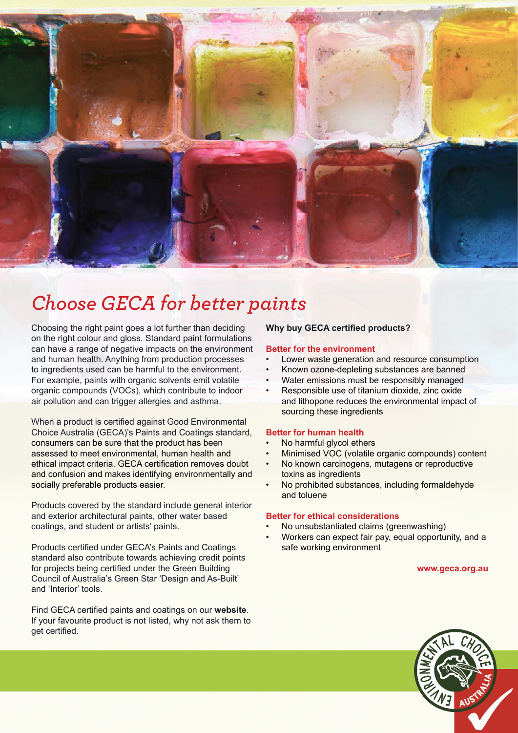

## *Choose GECA for better paints*

Choosing the right paint goes a lot further than deciding on the right colour and gloss. Standard paint formulations can have a range of negative impacts on the environment and human health. Anything from production processes to ingredients used can be harmful to the environment. For example, paints with organic solvents emit volatile organic compounds (VOCs), which contribute to indoor air pollution and can trigger allergies and asthma.

When a product is certified against Good Environmental Choice Australia (GECA)'s Paints and Coatings standard, consumers can be sure that the product has been assessed to meet environmental, human health and ethical impact criteria. GECA certification removes doubt and confusion and makes identifying environmentally and socially preferable products easier.

Products covered by the standard include general interior and exterior architectural paints, other water based coatings, and student or artists' paints.

Products certified under GECA's Paints and Coatings standard also contribute towards achieving credit points for projects being certified under the Green Building Council of Australia's Green Star 'Design and As-Built' and 'Interior' tools.

Find GECA certified paints and coatings on our **[website](http://www.geca.org.au/products/standards/47/)**. If your favourite product is not listed, why not ask them to get certified.

### **Why buy GECA certified products?**

#### **Better for the environment**

- Lower waste generation and resource consumption
- Known ozone-depleting substances are banned
- Water emissions must be responsibly managed
- Responsible use of titanium dioxide, zinc oxide and lithopone reduces the environmental impact of sourcing these ingredients

#### **Better for human health**

- No harmful glycol ethers
- Minimised VOC (volatile organic compounds) content
- No known carcinogens, mutagens or reproductive toxins as ingredients
- No prohibited substances, including formaldehyde and toluene

#### **Better for ethical considerations**

- No unsubstantiated claims (greenwashing)
- Workers can expect fair pay, equal opportunity, and a safe working environment

#### **www.geca.org.au**